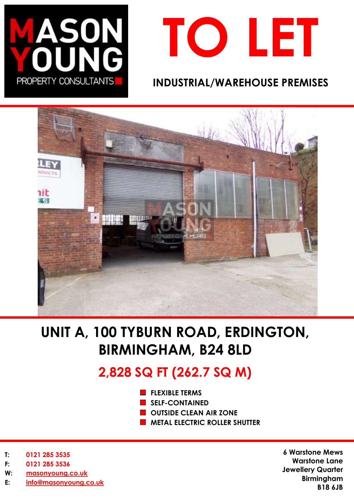



# **INDUSTRIAL/WAREHOUSE PREMISES**



# **UNIT A, 100 TYBURN ROAD, ERDINGTON, BIRMINGHAM, B24 8LD**

# **2,828 SQ FT (262.7 SQ M)**

- **FLEXIBLE TERMS**
- **SELF-CONTAINED**
- **OUTSIDE CLEAN AIR ZONE**
- **METAL ELECTRIC ROLLER SHUTTER**

- **T: 0121 285 3535**
- **F: 0121 285 3536**
- **W: [masonyoung.co.uk](http://www.masonyoung.co.uk/)**
- **E: [info@masonyoung.co.uk](mailto:info@masonyoung.co.uk)**

**6 Warstone Mews Warstone Lane Jewellery Quarter Birmingham B18 6JB**